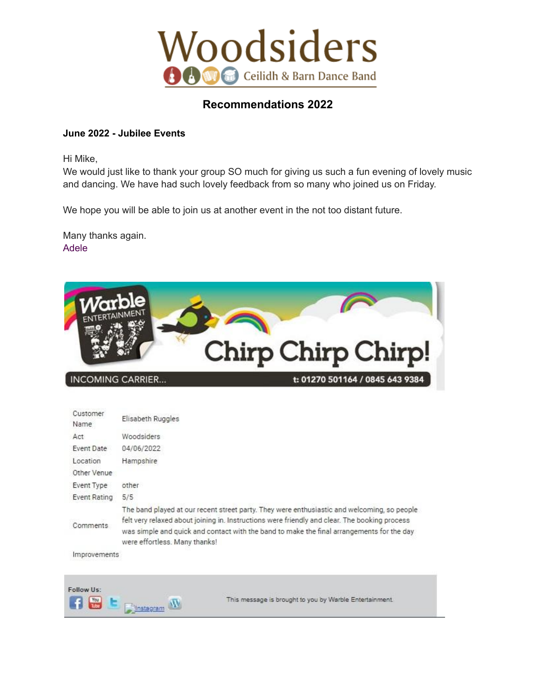

## **Recommendations 2022**

## **June 2022 - Jubilee Events**

Hi Mike,

We would just like to thank your group SO much for giving us such a fun evening of lovely music and dancing. We have had such lovely feedback from so many who joined us on Friday.

We hope you will be able to join us at another event in the not too distant future.

Many thanks again. Adele



# **INCOMING CARRIER...**

| Customer<br>Name                | Elisabeth Ruggles                                                                                                                                                                                                                                                                                                          |
|---------------------------------|----------------------------------------------------------------------------------------------------------------------------------------------------------------------------------------------------------------------------------------------------------------------------------------------------------------------------|
| Act                             | Woodsiders                                                                                                                                                                                                                                                                                                                 |
| Event Date                      | 04/06/2022                                                                                                                                                                                                                                                                                                                 |
| Location                        | Hampshire                                                                                                                                                                                                                                                                                                                  |
| Other Venue                     |                                                                                                                                                                                                                                                                                                                            |
| Event Type                      | other                                                                                                                                                                                                                                                                                                                      |
| Event Rating                    | 5/5                                                                                                                                                                                                                                                                                                                        |
| Comments                        | The band played at our recent street party. They were enthusiastic and welcoming, so people<br>felt very relaxed about joining in. Instructions were friendly and clear. The booking process<br>was simple and quick and contact with the band to make the final arrangements for the day<br>were effortless. Many thanks! |
| the contract of the contract of |                                                                                                                                                                                                                                                                                                                            |

Improvements



This message is brought to you by Warble Entertainment.